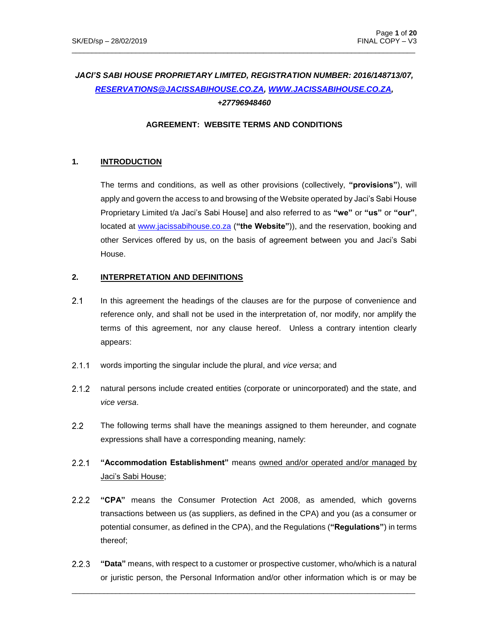# *JACI'S SABI HOUSE PROPRIETARY LIMITED, REGISTRATION NUMBER: 2016/148713/07, [RESERVATIONS@JACISSABIHOUSE.CO.ZA,](mailto:RESERVATIONS@JACISSABIHOUSE.CO.ZA) [WWW.JACISSABIHOUSE.CO.ZA,](http://www.jacissabihouse.co.za/) +27796948460*

 $\_$  ,  $\_$  ,  $\_$  ,  $\_$  ,  $\_$  ,  $\_$  ,  $\_$  ,  $\_$  ,  $\_$  ,  $\_$  ,  $\_$  ,  $\_$  ,  $\_$  ,  $\_$  ,  $\_$  ,  $\_$  ,  $\_$  ,  $\_$  ,  $\_$  ,  $\_$  ,  $\_$  ,  $\_$  ,  $\_$  ,  $\_$  ,  $\_$  ,  $\_$  ,  $\_$  ,  $\_$  ,  $\_$  ,  $\_$  ,  $\_$  ,  $\_$  ,  $\_$  ,  $\_$  ,  $\_$  ,  $\_$  ,  $\_$  ,

#### **AGREEMENT: WEBSITE TERMS AND CONDITIONS**

### **1. INTRODUCTION**

The terms and conditions, as well as other provisions (collectively, **"provisions"**), will apply and govern the access to and browsing of the Website operated by Jaci's Sabi House Proprietary Limited t/a Jaci's Sabi House] and also referred to as **"we"** or **"us"** or **"our"**, located at www.jacissabihouse.co.za (**"the Website"**)), and the reservation, booking and other Services offered by us, on the basis of agreement between you and Jaci's Sabi House.

#### **2. INTERPRETATION AND DEFINITIONS**

- $2.1$ In this agreement the headings of the clauses are for the purpose of convenience and reference only, and shall not be used in the interpretation of, nor modify, nor amplify the terms of this agreement, nor any clause hereof. Unless a contrary intention clearly appears:
- $2.1.1$ words importing the singular include the plural, and *vice versa*; and
- $2.1.2$ natural persons include created entities (corporate or unincorporated) and the state, and *vice versa*.
- $2.2$ The following terms shall have the meanings assigned to them hereunder, and cognate expressions shall have a corresponding meaning, namely:
- $2.2.1$ **"Accommodation Establishment"** means owned and/or operated and/or managed by Jaci's Sabi House;
- $2.2.2$ **"CPA"** means the Consumer Protection Act 2008, as amended, which governs transactions between us (as suppliers, as defined in the CPA) and you (as a consumer or potential consumer, as defined in the CPA), and the Regulations (**"Regulations"**) in terms thereof;
- $2.2.3$ **"Data"** means, with respect to a customer or prospective customer, who/which is a natural or juristic person, the Personal Information and/or other information which is or may be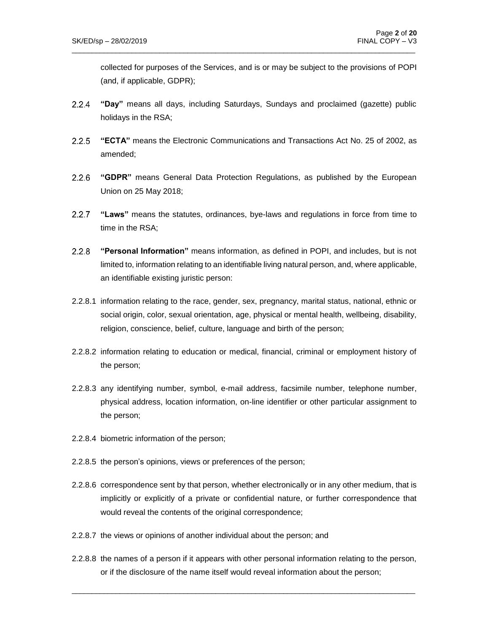collected for purposes of the Services, and is or may be subject to the provisions of POPI (and, if applicable, GDPR);

 $2.2.4$ **"Day"** means all days, including Saturdays, Sundays and proclaimed (gazette) public holidays in the RSA;

 $\_$  ,  $\_$  ,  $\_$  ,  $\_$  ,  $\_$  ,  $\_$  ,  $\_$  ,  $\_$  ,  $\_$  ,  $\_$  ,  $\_$  ,  $\_$  ,  $\_$  ,  $\_$  ,  $\_$  ,  $\_$  ,  $\_$  ,  $\_$  ,  $\_$  ,  $\_$  ,  $\_$  ,  $\_$  ,  $\_$  ,  $\_$  ,  $\_$  ,  $\_$  ,  $\_$  ,  $\_$  ,  $\_$  ,  $\_$  ,  $\_$  ,  $\_$  ,  $\_$  ,  $\_$  ,  $\_$  ,  $\_$  ,  $\_$  ,

- $2.2.5$ **"ECTA"** means the Electronic Communications and Transactions Act No. 25 of 2002, as amended;
- **"GDPR"** means General Data Protection Regulations, as published by the European Union on 25 May 2018;
- **"Laws"** means the statutes, ordinances, bye-laws and regulations in force from time to time in the RSA;
- $2.2.8$ **"Personal Information"** means information, as defined in POPI, and includes, but is not limited to, information relating to an identifiable living natural person, and, where applicable, an identifiable existing juristic person:
- 2.2.8.1 information relating to the race, gender, sex, pregnancy, marital status, national, ethnic or social origin, color, sexual orientation, age, physical or mental health, wellbeing, disability, religion, conscience, belief, culture, language and birth of the person;
- 2.2.8.2 information relating to education or medical, financial, criminal or employment history of the person;
- 2.2.8.3 any identifying number, symbol, e-mail address, facsimile number, telephone number, physical address, location information, on-line identifier or other particular assignment to the person;
- 2.2.8.4 biometric information of the person;
- 2.2.8.5 the person's opinions, views or preferences of the person;
- 2.2.8.6 correspondence sent by that person, whether electronically or in any other medium, that is implicitly or explicitly of a private or confidential nature, or further correspondence that would reveal the contents of the original correspondence;
- 2.2.8.7 the views or opinions of another individual about the person; and
- 2.2.8.8 the names of a person if it appears with other personal information relating to the person, or if the disclosure of the name itself would reveal information about the person;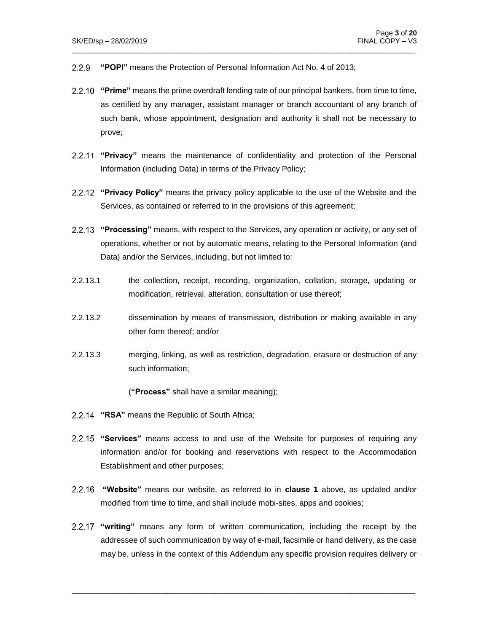- **"POPI"** means the Protection of Personal Information Act No. 4 of 2013;  $2.2.9$
- **"Prime"** means the prime overdraft lending rate of our principal bankers, from time to time, as certified by any manager, assistant manager or branch accountant of any branch of such bank, whose appointment, designation and authority it shall not be necessary to prove;

 $\_$  ,  $\_$  ,  $\_$  ,  $\_$  ,  $\_$  ,  $\_$  ,  $\_$  ,  $\_$  ,  $\_$  ,  $\_$  ,  $\_$  ,  $\_$  ,  $\_$  ,  $\_$  ,  $\_$  ,  $\_$  ,  $\_$  ,  $\_$  ,  $\_$  ,  $\_$  ,  $\_$  ,  $\_$  ,  $\_$  ,  $\_$  ,  $\_$  ,  $\_$  ,  $\_$  ,  $\_$  ,  $\_$  ,  $\_$  ,  $\_$  ,  $\_$  ,  $\_$  ,  $\_$  ,  $\_$  ,  $\_$  ,  $\_$  ,

- **"Privacy"** means the maintenance of confidentiality and protection of the Personal Information (including Data) in terms of the Privacy Policy;
- **"Privacy Policy"** means the privacy policy applicable to the use of the Website and the Services, as contained or referred to in the provisions of this agreement;
- **"Processing"** means, with respect to the Services, any operation or activity, or any set of operations, whether or not by automatic means, relating to the Personal Information (and Data) and/or the Services, including, but not limited to:
- 2.2.13.1 the collection, receipt, recording, organization, collation, storage, updating or modification, retrieval, alteration, consultation or use thereof;
- 2.2.13.2 dissemination by means of transmission, distribution or making available in any other form thereof; and/or
- 2.2.13.3 merging, linking, as well as restriction, degradation, erasure or destruction of any such information;

(**"Process"** shall have a similar meaning);

- 2.2.14 "RSA" means the Republic of South Africa;
- **"Services"** means access to and use of the Website for purposes of requiring any information and/or for booking and reservations with respect to the Accommodation Establishment and other purposes;
- **"Website"** means our website, as referred to in **clause 1** above, as updated and/or modified from time to time, and shall include mobi-sites, apps and cookies;
- **"writing"** means any form of written communication, including the receipt by the addressee of such communication by way of e-mail, facsimile or hand delivery, as the case may be, unless in the context of this Addendum any specific provision requires delivery or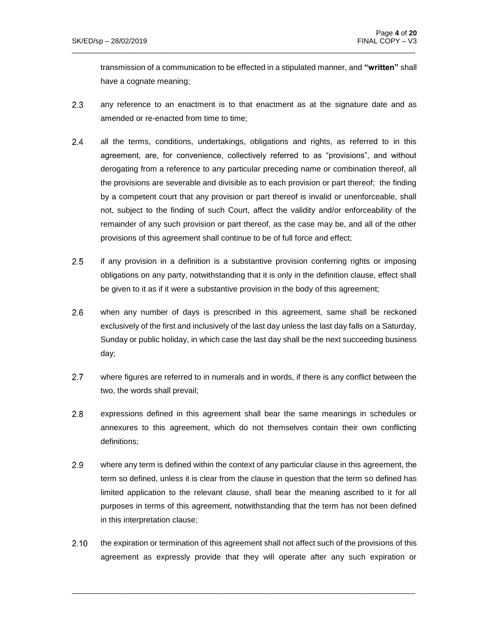transmission of a communication to be effected in a stipulated manner, and **"written"** shall have a cognate meaning;

 $2.3$ any reference to an enactment is to that enactment as at the signature date and as amended or re-enacted from time to time;

 $\_$  ,  $\_$  ,  $\_$  ,  $\_$  ,  $\_$  ,  $\_$  ,  $\_$  ,  $\_$  ,  $\_$  ,  $\_$  ,  $\_$  ,  $\_$  ,  $\_$  ,  $\_$  ,  $\_$  ,  $\_$  ,  $\_$  ,  $\_$  ,  $\_$  ,  $\_$  ,  $\_$  ,  $\_$  ,  $\_$  ,  $\_$  ,  $\_$  ,  $\_$  ,  $\_$  ,  $\_$  ,  $\_$  ,  $\_$  ,  $\_$  ,  $\_$  ,  $\_$  ,  $\_$  ,  $\_$  ,  $\_$  ,  $\_$  ,

- $2.4$ all the terms, conditions, undertakings, obligations and rights, as referred to in this agreement, are, for convenience, collectively referred to as "provisions", and without derogating from a reference to any particular preceding name or combination thereof, all the provisions are severable and divisible as to each provision or part thereof; the finding by a competent court that any provision or part thereof is invalid or unenforceable, shall not, subject to the finding of such Court, affect the validity and/or enforceability of the remainder of any such provision or part thereof, as the case may be, and all of the other provisions of this agreement shall continue to be of full force and effect;
- $2.5$ if any provision in a definition is a substantive provision conferring rights or imposing obligations on any party, notwithstanding that it is only in the definition clause, effect shall be given to it as if it were a substantive provision in the body of this agreement;
- $2.6$ when any number of days is prescribed in this agreement, same shall be reckoned exclusively of the first and inclusively of the last day unless the last day falls on a Saturday, Sunday or public holiday, in which case the last day shall be the next succeeding business day;
- $2.7$ where figures are referred to in numerals and in words, if there is any conflict between the two, the words shall prevail;
- $2.8$ expressions defined in this agreement shall bear the same meanings in schedules or annexures to this agreement, which do not themselves contain their own conflicting definitions;
- $2.9<sub>2</sub>$ where any term is defined within the context of any particular clause in this agreement, the term so defined, unless it is clear from the clause in question that the term so defined has limited application to the relevant clause, shall bear the meaning ascribed to it for all purposes in terms of this agreement, notwithstanding that the term has not been defined in this interpretation clause;
- $2.10$ the expiration or termination of this agreement shall not affect such of the provisions of this agreement as expressly provide that they will operate after any such expiration or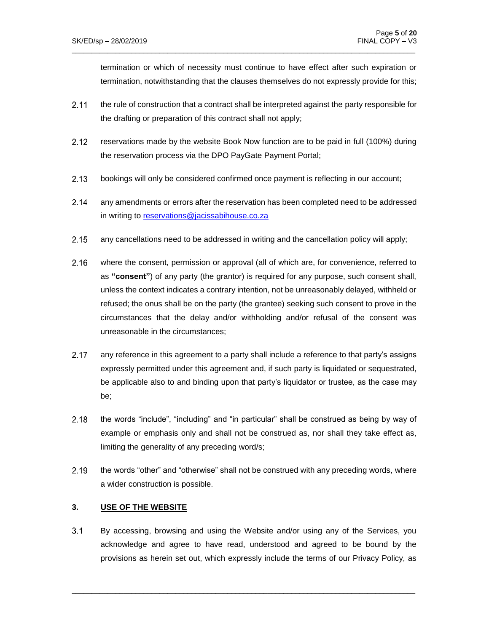termination or which of necessity must continue to have effect after such expiration or termination, notwithstanding that the clauses themselves do not expressly provide for this;

 $2.11$ the rule of construction that a contract shall be interpreted against the party responsible for the drafting or preparation of this contract shall not apply;

 $\_$  ,  $\_$  ,  $\_$  ,  $\_$  ,  $\_$  ,  $\_$  ,  $\_$  ,  $\_$  ,  $\_$  ,  $\_$  ,  $\_$  ,  $\_$  ,  $\_$  ,  $\_$  ,  $\_$  ,  $\_$  ,  $\_$  ,  $\_$  ,  $\_$  ,  $\_$  ,  $\_$  ,  $\_$  ,  $\_$  ,  $\_$  ,  $\_$  ,  $\_$  ,  $\_$  ,  $\_$  ,  $\_$  ,  $\_$  ,  $\_$  ,  $\_$  ,  $\_$  ,  $\_$  ,  $\_$  ,  $\_$  ,  $\_$  ,

- $2.12$ reservations made by the website Book Now function are to be paid in full (100%) during the reservation process via the DPO PayGate Payment Portal;
- $2.13$ bookings will only be considered confirmed once payment is reflecting in our account;
- $2.14$ any amendments or errors after the reservation has been completed need to be addressed in writing to [reservations@jacissabihouse.co.za](mailto:reservations@jacissabihouse.co.za)
- $2.15$ any cancellations need to be addressed in writing and the cancellation policy will apply;
- $2.16$ where the consent, permission or approval (all of which are, for convenience, referred to as **"consent"**) of any party (the grantor) is required for any purpose, such consent shall, unless the context indicates a contrary intention, not be unreasonably delayed, withheld or refused; the onus shall be on the party (the grantee) seeking such consent to prove in the circumstances that the delay and/or withholding and/or refusal of the consent was unreasonable in the circumstances;
- $2.17$ any reference in this agreement to a party shall include a reference to that party's assigns expressly permitted under this agreement and, if such party is liquidated or sequestrated, be applicable also to and binding upon that party's liquidator or trustee, as the case may be;
- 2.18 the words "include", "including" and "in particular" shall be construed as being by way of example or emphasis only and shall not be construed as, nor shall they take effect as, limiting the generality of any preceding word/s;
- 2.19 the words "other" and "otherwise" shall not be construed with any preceding words, where a wider construction is possible.

### **3. USE OF THE WEBSITE**

 $3.1$ By accessing, browsing and using the Website and/or using any of the Services, you acknowledge and agree to have read, understood and agreed to be bound by the provisions as herein set out, which expressly include the terms of our Privacy Policy, as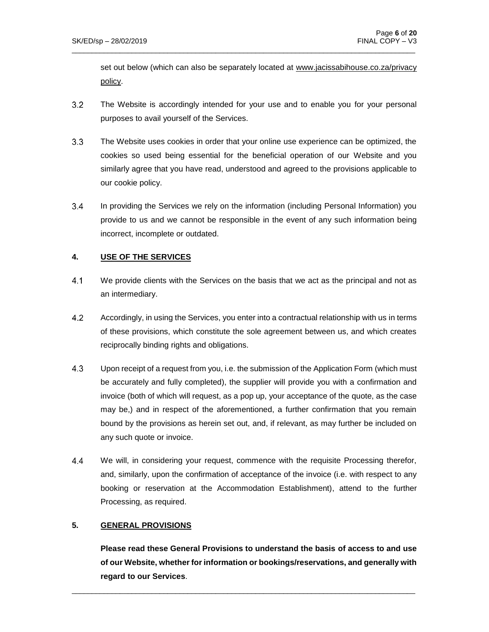set out below (which can also be separately located at www.jacissabihouse.co.za/privacy policy.

 $3.2$ The Website is accordingly intended for your use and to enable you for your personal purposes to avail yourself of the Services.

 $\_$  ,  $\_$  ,  $\_$  ,  $\_$  ,  $\_$  ,  $\_$  ,  $\_$  ,  $\_$  ,  $\_$  ,  $\_$  ,  $\_$  ,  $\_$  ,  $\_$  ,  $\_$  ,  $\_$  ,  $\_$  ,  $\_$  ,  $\_$  ,  $\_$  ,  $\_$  ,  $\_$  ,  $\_$  ,  $\_$  ,  $\_$  ,  $\_$  ,  $\_$  ,  $\_$  ,  $\_$  ,  $\_$  ,  $\_$  ,  $\_$  ,  $\_$  ,  $\_$  ,  $\_$  ,  $\_$  ,  $\_$  ,  $\_$  ,

- $3.3<sub>1</sub>$ The Website uses cookies in order that your online use experience can be optimized, the cookies so used being essential for the beneficial operation of our Website and you similarly agree that you have read, understood and agreed to the provisions applicable to our cookie policy.
- $3.4$ In providing the Services we rely on the information (including Personal Information) you provide to us and we cannot be responsible in the event of any such information being incorrect, incomplete or outdated.

### **4. USE OF THE SERVICES**

- $4.1$ We provide clients with the Services on the basis that we act as the principal and not as an intermediary.
- $4.2$ Accordingly, in using the Services, you enter into a contractual relationship with us in terms of these provisions, which constitute the sole agreement between us, and which creates reciprocally binding rights and obligations.
- $4.3$ Upon receipt of a request from you, i.e. the submission of the Application Form (which must be accurately and fully completed), the supplier will provide you with a confirmation and invoice (both of which will request, as a pop up, your acceptance of the quote, as the case may be,) and in respect of the aforementioned, a further confirmation that you remain bound by the provisions as herein set out, and, if relevant, as may further be included on any such quote or invoice.
- $4.4$ We will, in considering your request, commence with the requisite Processing therefor, and, similarly, upon the confirmation of acceptance of the invoice (i.e. with respect to any booking or reservation at the Accommodation Establishment), attend to the further Processing, as required.

### **5. GENERAL PROVISIONS**

**Please read these General Provisions to understand the basis of access to and use of our Website, whether for information or bookings/reservations, and generally with regard to our Services**.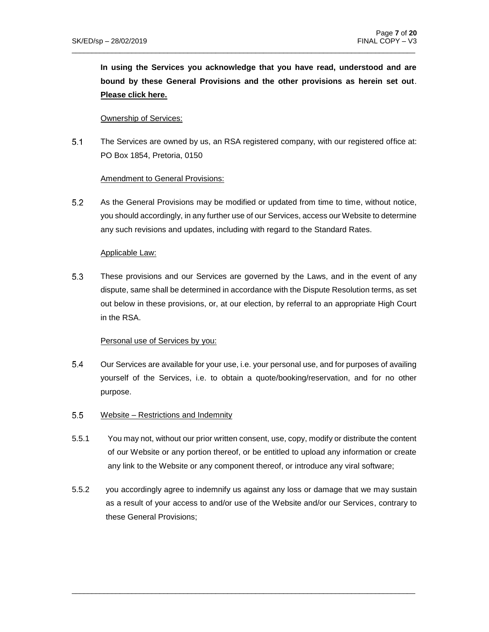**In using the Services you acknowledge that you have read, understood and are bound by these General Provisions and the other provisions as herein set out**. **Please click here.**

#### Ownership of Services:

 $5.1$ The Services are owned by us, an RSA registered company, with our registered office at: PO Box 1854, Pretoria, 0150

 $\_$  ,  $\_$  ,  $\_$  ,  $\_$  ,  $\_$  ,  $\_$  ,  $\_$  ,  $\_$  ,  $\_$  ,  $\_$  ,  $\_$  ,  $\_$  ,  $\_$  ,  $\_$  ,  $\_$  ,  $\_$  ,  $\_$  ,  $\_$  ,  $\_$  ,  $\_$  ,  $\_$  ,  $\_$  ,  $\_$  ,  $\_$  ,  $\_$  ,  $\_$  ,  $\_$  ,  $\_$  ,  $\_$  ,  $\_$  ,  $\_$  ,  $\_$  ,  $\_$  ,  $\_$  ,  $\_$  ,  $\_$  ,  $\_$  ,

#### Amendment to General Provisions:

 $5.2$ As the General Provisions may be modified or updated from time to time, without notice, you should accordingly, in any further use of our Services, access our Website to determine any such revisions and updates, including with regard to the Standard Rates.

#### Applicable Law:

5.3 These provisions and our Services are governed by the Laws, and in the event of any dispute, same shall be determined in accordance with the Dispute Resolution terms, as set out below in these provisions, or, at our election, by referral to an appropriate High Court in the RSA.

### Personal use of Services by you:

- $5.4$ Our Services are available for your use, i.e. your personal use, and for purposes of availing yourself of the Services, i.e. to obtain a quote/booking/reservation, and for no other purpose.
- $5.5$ Website – Restrictions and Indemnity
- 5.5.1 You may not, without our prior written consent, use, copy, modify or distribute the content of our Website or any portion thereof, or be entitled to upload any information or create any link to the Website or any component thereof, or introduce any viral software;
- 5.5.2 you accordingly agree to indemnify us against any loss or damage that we may sustain as a result of your access to and/or use of the Website and/or our Services, contrary to these General Provisions;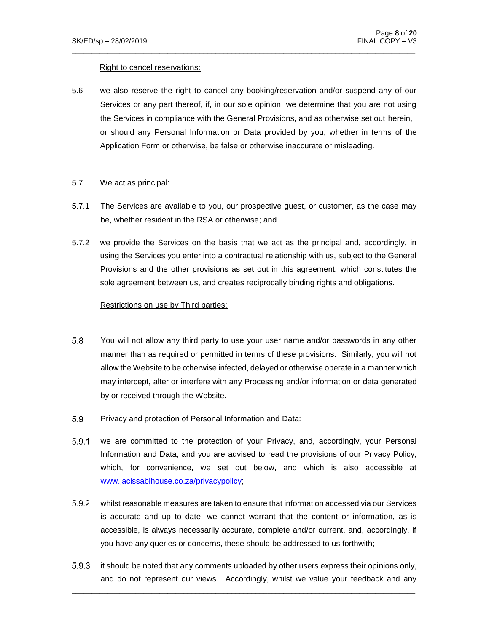#### Right to cancel reservations:

5.6 we also reserve the right to cancel any booking/reservation and/or suspend any of our Services or any part thereof, if, in our sole opinion, we determine that you are not using the Services in compliance with the General Provisions, and as otherwise set out herein, or should any Personal Information or Data provided by you, whether in terms of the Application Form or otherwise, be false or otherwise inaccurate or misleading.

 $\_$  ,  $\_$  ,  $\_$  ,  $\_$  ,  $\_$  ,  $\_$  ,  $\_$  ,  $\_$  ,  $\_$  ,  $\_$  ,  $\_$  ,  $\_$  ,  $\_$  ,  $\_$  ,  $\_$  ,  $\_$  ,  $\_$  ,  $\_$  ,  $\_$  ,  $\_$  ,  $\_$  ,  $\_$  ,  $\_$  ,  $\_$  ,  $\_$  ,  $\_$  ,  $\_$  ,  $\_$  ,  $\_$  ,  $\_$  ,  $\_$  ,  $\_$  ,  $\_$  ,  $\_$  ,  $\_$  ,  $\_$  ,  $\_$  ,

#### 5.7 We act as principal:

- 5.7.1 The Services are available to you, our prospective guest, or customer, as the case may be, whether resident in the RSA or otherwise; and
- 5.7.2 we provide the Services on the basis that we act as the principal and, accordingly, in using the Services you enter into a contractual relationship with us, subject to the General Provisions and the other provisions as set out in this agreement, which constitutes the sole agreement between us, and creates reciprocally binding rights and obligations.

#### Restrictions on use by Third parties:

- $5.8$ You will not allow any third party to use your user name and/or passwords in any other manner than as required or permitted in terms of these provisions. Similarly, you will not allow the Website to be otherwise infected, delayed or otherwise operate in a manner which may intercept, alter or interfere with any Processing and/or information or data generated by or received through the Website.
- 5.9 Privacy and protection of Personal Information and Data:
- $5.9.1$ we are committed to the protection of your Privacy, and, accordingly, your Personal Information and Data, and you are advised to read the provisions of our Privacy Policy, which, for convenience, we set out below, and which is also accessible at [www.jacissabihouse.co.za/privacypolicy;](http://www.jacissabihouse.co.za/privacypolicy)
- $5.9.2$ whilst reasonable measures are taken to ensure that information accessed via our Services is accurate and up to date, we cannot warrant that the content or information, as is accessible, is always necessarily accurate, complete and/or current, and, accordingly, if you have any queries or concerns, these should be addressed to us forthwith;
- $5.9.3$ it should be noted that any comments uploaded by other users express their opinions only, and do not represent our views. Accordingly, whilst we value your feedback and any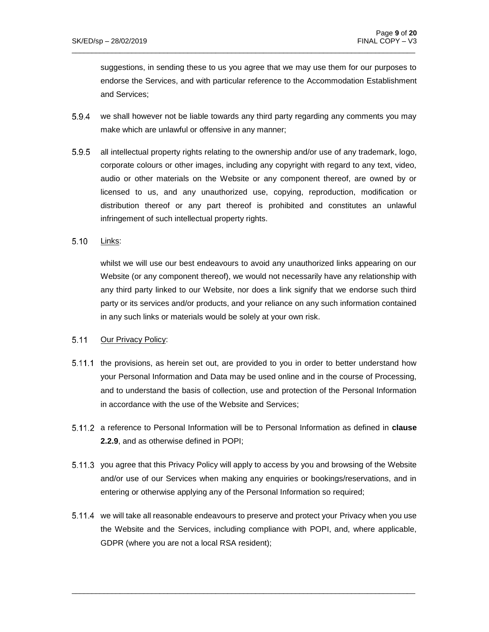suggestions, in sending these to us you agree that we may use them for our purposes to endorse the Services, and with particular reference to the Accommodation Establishment and Services;

5.9.4 we shall however not be liable towards any third party regarding any comments you may make which are unlawful or offensive in any manner;

 $\_$  ,  $\_$  ,  $\_$  ,  $\_$  ,  $\_$  ,  $\_$  ,  $\_$  ,  $\_$  ,  $\_$  ,  $\_$  ,  $\_$  ,  $\_$  ,  $\_$  ,  $\_$  ,  $\_$  ,  $\_$  ,  $\_$  ,  $\_$  ,  $\_$  ,  $\_$  ,  $\_$  ,  $\_$  ,  $\_$  ,  $\_$  ,  $\_$  ,  $\_$  ,  $\_$  ,  $\_$  ,  $\_$  ,  $\_$  ,  $\_$  ,  $\_$  ,  $\_$  ,  $\_$  ,  $\_$  ,  $\_$  ,  $\_$  ,

- $5.9.5$ all intellectual property rights relating to the ownership and/or use of any trademark, logo, corporate colours or other images, including any copyright with regard to any text, video, audio or other materials on the Website or any component thereof, are owned by or licensed to us, and any unauthorized use, copying, reproduction, modification or distribution thereof or any part thereof is prohibited and constitutes an unlawful infringement of such intellectual property rights.
- $5.10$ Links:

whilst we will use our best endeavours to avoid any unauthorized links appearing on our Website (or any component thereof), we would not necessarily have any relationship with any third party linked to our Website, nor does a link signify that we endorse such third party or its services and/or products, and your reliance on any such information contained in any such links or materials would be solely at your own risk.

#### 5.11 Our Privacy Policy:

- 5.11.1 the provisions, as herein set out, are provided to you in order to better understand how your Personal Information and Data may be used online and in the course of Processing, and to understand the basis of collection, use and protection of the Personal Information in accordance with the use of the Website and Services;
- a reference to Personal Information will be to Personal Information as defined in **clause 2.2.9**, and as otherwise defined in POPI;
- 5.11.3 you agree that this Privacy Policy will apply to access by you and browsing of the Website and/or use of our Services when making any enquiries or bookings/reservations, and in entering or otherwise applying any of the Personal Information so required;
- 5.11.4 we will take all reasonable endeavours to preserve and protect your Privacy when you use the Website and the Services, including compliance with POPI, and, where applicable, GDPR (where you are not a local RSA resident);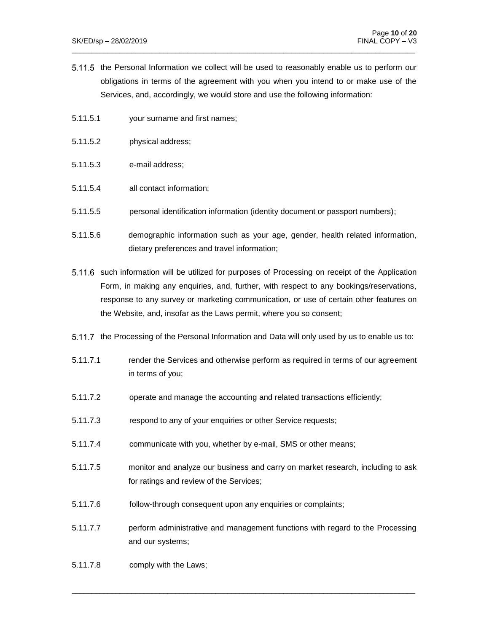5.11.5 the Personal Information we collect will be used to reasonably enable us to perform our obligations in terms of the agreement with you when you intend to or make use of the Services, and, accordingly, we would store and use the following information:

 $\_$  ,  $\_$  ,  $\_$  ,  $\_$  ,  $\_$  ,  $\_$  ,  $\_$  ,  $\_$  ,  $\_$  ,  $\_$  ,  $\_$  ,  $\_$  ,  $\_$  ,  $\_$  ,  $\_$  ,  $\_$  ,  $\_$  ,  $\_$  ,  $\_$  ,  $\_$  ,  $\_$  ,  $\_$  ,  $\_$  ,  $\_$  ,  $\_$  ,  $\_$  ,  $\_$  ,  $\_$  ,  $\_$  ,  $\_$  ,  $\_$  ,  $\_$  ,  $\_$  ,  $\_$  ,  $\_$  ,  $\_$  ,  $\_$  ,

- 5.11.5.1 your surname and first names;
- 5.11.5.2 physical address;
- 5.11.5.3 e-mail address;
- 5.11.5.4 all contact information;
- 5.11.5.5 personal identification information (identity document or passport numbers);
- 5.11.5.6 demographic information such as your age, gender, health related information, dietary preferences and travel information;
- 5.11.6 such information will be utilized for purposes of Processing on receipt of the Application Form, in making any enquiries, and, further, with respect to any bookings/reservations, response to any survey or marketing communication, or use of certain other features on the Website, and, insofar as the Laws permit, where you so consent;
- 5.11.7 the Processing of the Personal Information and Data will only used by us to enable us to:
- 5.11.7.1 render the Services and otherwise perform as required in terms of our agreement in terms of you;
- 5.11.7.2 operate and manage the accounting and related transactions efficiently;
- 5.11.7.3 respond to any of your enquiries or other Service requests;
- 5.11.7.4 communicate with you, whether by e-mail, SMS or other means;
- 5.11.7.5 monitor and analyze our business and carry on market research, including to ask for ratings and review of the Services;
- 5.11.7.6 follow-through consequent upon any enquiries or complaints;
- 5.11.7.7 perform administrative and management functions with regard to the Processing and our systems;

 $\_$  ,  $\_$  ,  $\_$  ,  $\_$  ,  $\_$  ,  $\_$  ,  $\_$  ,  $\_$  ,  $\_$  ,  $\_$  ,  $\_$  ,  $\_$  ,  $\_$  ,  $\_$  ,  $\_$  ,  $\_$  ,  $\_$  ,  $\_$  ,  $\_$  ,  $\_$  ,  $\_$  ,  $\_$  ,  $\_$  ,  $\_$  ,  $\_$  ,  $\_$  ,  $\_$  ,  $\_$  ,  $\_$  ,  $\_$  ,  $\_$  ,  $\_$  ,  $\_$  ,  $\_$  ,  $\_$  ,  $\_$  ,  $\_$  ,

5.11.7.8 comply with the Laws;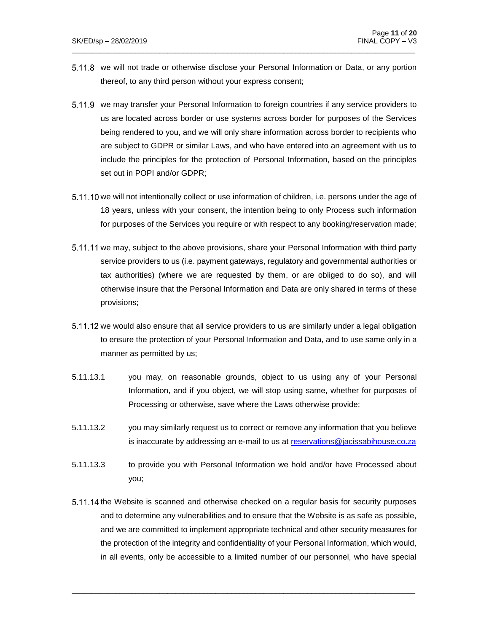5.11.8 we will not trade or otherwise disclose your Personal Information or Data, or any portion thereof, to any third person without your express consent;

 $\_$  ,  $\_$  ,  $\_$  ,  $\_$  ,  $\_$  ,  $\_$  ,  $\_$  ,  $\_$  ,  $\_$  ,  $\_$  ,  $\_$  ,  $\_$  ,  $\_$  ,  $\_$  ,  $\_$  ,  $\_$  ,  $\_$  ,  $\_$  ,  $\_$  ,  $\_$  ,  $\_$  ,  $\_$  ,  $\_$  ,  $\_$  ,  $\_$  ,  $\_$  ,  $\_$  ,  $\_$  ,  $\_$  ,  $\_$  ,  $\_$  ,  $\_$  ,  $\_$  ,  $\_$  ,  $\_$  ,  $\_$  ,  $\_$  ,

- 5.11.9 we may transfer your Personal Information to foreign countries if any service providers to us are located across border or use systems across border for purposes of the Services being rendered to you, and we will only share information across border to recipients who are subject to GDPR or similar Laws, and who have entered into an agreement with us to include the principles for the protection of Personal Information, based on the principles set out in POPI and/or GDPR;
- 5.11.10 we will not intentionally collect or use information of children, i.e. persons under the age of 18 years, unless with your consent, the intention being to only Process such information for purposes of the Services you require or with respect to any booking/reservation made;
- 5.11.11 we may, subject to the above provisions, share your Personal Information with third party service providers to us (i.e. payment gateways, regulatory and governmental authorities or tax authorities) (where we are requested by them, or are obliged to do so), and will otherwise insure that the Personal Information and Data are only shared in terms of these provisions;
- 5.11.12 we would also ensure that all service providers to us are similarly under a legal obligation to ensure the protection of your Personal Information and Data, and to use same only in a manner as permitted by us;
- 5.11.13.1 you may, on reasonable grounds, object to us using any of your Personal Information, and if you object, we will stop using same, whether for purposes of Processing or otherwise, save where the Laws otherwise provide;
- 5.11.13.2 you may similarly request us to correct or remove any information that you believe is inaccurate by addressing an e-mail to us at [reservations@jacissabihouse.co.za](mailto:reservations@jacissabihouse.co.za)
- 5.11.13.3 to provide you with Personal Information we hold and/or have Processed about you;
- 5.11.14 the Website is scanned and otherwise checked on a regular basis for security purposes and to determine any vulnerabilities and to ensure that the Website is as safe as possible, and we are committed to implement appropriate technical and other security measures for the protection of the integrity and confidentiality of your Personal Information, which would, in all events, only be accessible to a limited number of our personnel, who have special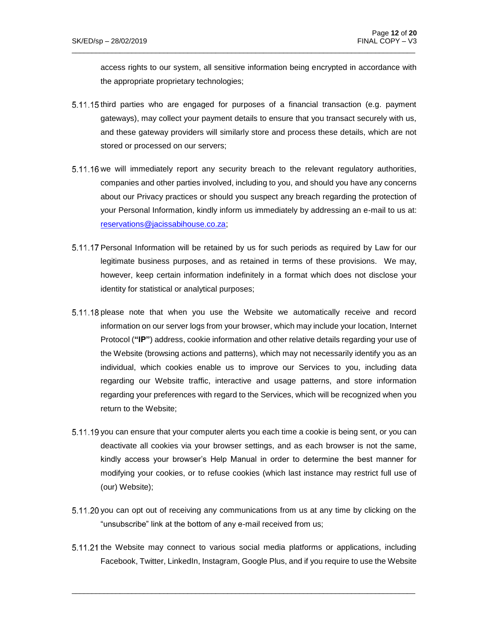access rights to our system, all sensitive information being encrypted in accordance with the appropriate proprietary technologies;

 $5.11.15$  third parties who are engaged for purposes of a financial transaction (e.g. payment gateways), may collect your payment details to ensure that you transact securely with us, and these gateway providers will similarly store and process these details, which are not stored or processed on our servers;

 $\_$  ,  $\_$  ,  $\_$  ,  $\_$  ,  $\_$  ,  $\_$  ,  $\_$  ,  $\_$  ,  $\_$  ,  $\_$  ,  $\_$  ,  $\_$  ,  $\_$  ,  $\_$  ,  $\_$  ,  $\_$  ,  $\_$  ,  $\_$  ,  $\_$  ,  $\_$  ,  $\_$  ,  $\_$  ,  $\_$  ,  $\_$  ,  $\_$  ,  $\_$  ,  $\_$  ,  $\_$  ,  $\_$  ,  $\_$  ,  $\_$  ,  $\_$  ,  $\_$  ,  $\_$  ,  $\_$  ,  $\_$  ,  $\_$  ,

- 5.11.16 we will immediately report any security breach to the relevant regulatory authorities, companies and other parties involved, including to you, and should you have any concerns about our Privacy practices or should you suspect any breach regarding the protection of your Personal Information, kindly inform us immediately by addressing an e-mail to us at: [reservations@jacissabihouse.co.za;](mailto:reservations@jacissabihouse.co.za)
- 5.11.17 Personal Information will be retained by us for such periods as required by Law for our legitimate business purposes, and as retained in terms of these provisions. We may, however, keep certain information indefinitely in a format which does not disclose your identity for statistical or analytical purposes;
- 5.11.18 please note that when you use the Website we automatically receive and record information on our server logs from your browser, which may include your location, Internet Protocol (**"IP"**) address, cookie information and other relative details regarding your use of the Website (browsing actions and patterns), which may not necessarily identify you as an individual, which cookies enable us to improve our Services to you, including data regarding our Website traffic, interactive and usage patterns, and store information regarding your preferences with regard to the Services, which will be recognized when you return to the Website;
- 5.11.19 you can ensure that your computer alerts you each time a cookie is being sent, or you can deactivate all cookies via your browser settings, and as each browser is not the same, kindly access your browser's Help Manual in order to determine the best manner for modifying your cookies, or to refuse cookies (which last instance may restrict full use of (our) Website);
- 5.11.20 you can opt out of receiving any communications from us at any time by clicking on the "unsubscribe" link at the bottom of any e-mail received from us;
- 5.11.21 the Website may connect to various social media platforms or applications, including Facebook, Twitter, LinkedIn, Instagram, Google Plus, and if you require to use the Website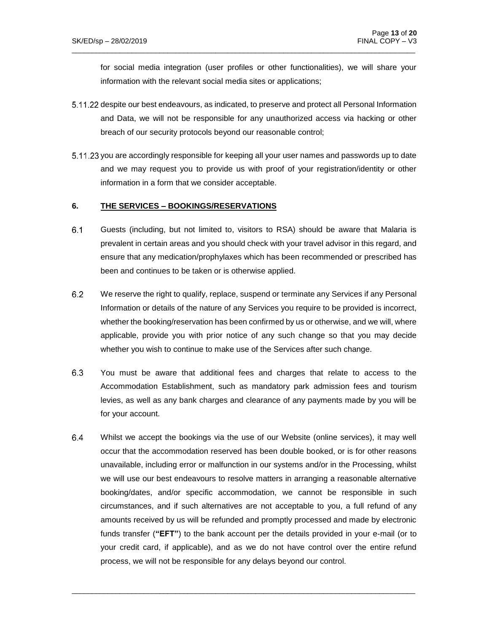for social media integration (user profiles or other functionalities), we will share your information with the relevant social media sites or applications;

5.11.22 despite our best endeavours, as indicated, to preserve and protect all Personal Information and Data, we will not be responsible for any unauthorized access via hacking or other breach of our security protocols beyond our reasonable control;

 $\_$  ,  $\_$  ,  $\_$  ,  $\_$  ,  $\_$  ,  $\_$  ,  $\_$  ,  $\_$  ,  $\_$  ,  $\_$  ,  $\_$  ,  $\_$  ,  $\_$  ,  $\_$  ,  $\_$  ,  $\_$  ,  $\_$  ,  $\_$  ,  $\_$  ,  $\_$  ,  $\_$  ,  $\_$  ,  $\_$  ,  $\_$  ,  $\_$  ,  $\_$  ,  $\_$  ,  $\_$  ,  $\_$  ,  $\_$  ,  $\_$  ,  $\_$  ,  $\_$  ,  $\_$  ,  $\_$  ,  $\_$  ,  $\_$  ,

5.11.23 you are accordingly responsible for keeping all your user names and passwords up to date and we may request you to provide us with proof of your registration/identity or other information in a form that we consider acceptable.

### **6. THE SERVICES – BOOKINGS/RESERVATIONS**

- $6.1$ Guests (including, but not limited to, visitors to RSA) should be aware that Malaria is prevalent in certain areas and you should check with your travel advisor in this regard, and ensure that any medication/prophylaxes which has been recommended or prescribed has been and continues to be taken or is otherwise applied.
- $6.2$ We reserve the right to qualify, replace, suspend or terminate any Services if any Personal Information or details of the nature of any Services you require to be provided is incorrect, whether the booking/reservation has been confirmed by us or otherwise, and we will, where applicable, provide you with prior notice of any such change so that you may decide whether you wish to continue to make use of the Services after such change.
- $6.3$ You must be aware that additional fees and charges that relate to access to the Accommodation Establishment, such as mandatory park admission fees and tourism levies, as well as any bank charges and clearance of any payments made by you will be for your account.
- $6.4$ Whilst we accept the bookings via the use of our Website (online services), it may well occur that the accommodation reserved has been double booked, or is for other reasons unavailable, including error or malfunction in our systems and/or in the Processing, whilst we will use our best endeavours to resolve matters in arranging a reasonable alternative booking/dates, and/or specific accommodation, we cannot be responsible in such circumstances, and if such alternatives are not acceptable to you, a full refund of any amounts received by us will be refunded and promptly processed and made by electronic funds transfer (**"EFT"**) to the bank account per the details provided in your e-mail (or to your credit card, if applicable), and as we do not have control over the entire refund process, we will not be responsible for any delays beyond our control.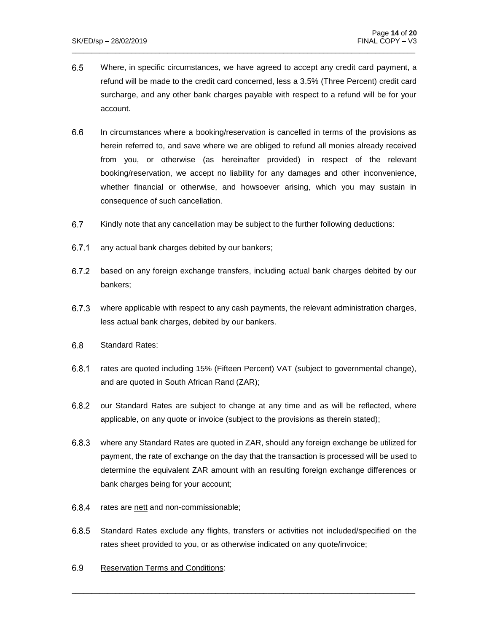$6.5$ Where, in specific circumstances, we have agreed to accept any credit card payment, a refund will be made to the credit card concerned, less a 3.5% (Three Percent) credit card surcharge, and any other bank charges payable with respect to a refund will be for your account.

 $\_$  ,  $\_$  ,  $\_$  ,  $\_$  ,  $\_$  ,  $\_$  ,  $\_$  ,  $\_$  ,  $\_$  ,  $\_$  ,  $\_$  ,  $\_$  ,  $\_$  ,  $\_$  ,  $\_$  ,  $\_$  ,  $\_$  ,  $\_$  ,  $\_$  ,  $\_$  ,  $\_$  ,  $\_$  ,  $\_$  ,  $\_$  ,  $\_$  ,  $\_$  ,  $\_$  ,  $\_$  ,  $\_$  ,  $\_$  ,  $\_$  ,  $\_$  ,  $\_$  ,  $\_$  ,  $\_$  ,  $\_$  ,  $\_$  ,

- $6.6$ In circumstances where a booking/reservation is cancelled in terms of the provisions as herein referred to, and save where we are obliged to refund all monies already received from you, or otherwise (as hereinafter provided) in respect of the relevant booking/reservation, we accept no liability for any damages and other inconvenience, whether financial or otherwise, and howsoever arising, which you may sustain in consequence of such cancellation.
- $6.7$ Kindly note that any cancellation may be subject to the further following deductions:
- $6.7.1$ any actual bank charges debited by our bankers;
- $6.7.2$ based on any foreign exchange transfers, including actual bank charges debited by our bankers;
- $6.7.3$ where applicable with respect to any cash payments, the relevant administration charges, less actual bank charges, debited by our bankers.
- $6.8$ Standard Rates:
- $6.8.1$ rates are quoted including 15% (Fifteen Percent) VAT (subject to governmental change), and are quoted in South African Rand (ZAR);
- $6.8.2$ our Standard Rates are subject to change at any time and as will be reflected, where applicable, on any quote or invoice (subject to the provisions as therein stated);
- $6.8.3$ where any Standard Rates are quoted in ZAR, should any foreign exchange be utilized for payment, the rate of exchange on the day that the transaction is processed will be used to determine the equivalent ZAR amount with an resulting foreign exchange differences or bank charges being for your account;
- 6.8.4 rates are nett and non-commissionable;
- $6.8.5$ Standard Rates exclude any flights, transfers or activities not included/specified on the rates sheet provided to you, or as otherwise indicated on any quote/invoice;

 $\_$  ,  $\_$  ,  $\_$  ,  $\_$  ,  $\_$  ,  $\_$  ,  $\_$  ,  $\_$  ,  $\_$  ,  $\_$  ,  $\_$  ,  $\_$  ,  $\_$  ,  $\_$  ,  $\_$  ,  $\_$  ,  $\_$  ,  $\_$  ,  $\_$  ,  $\_$  ,  $\_$  ,  $\_$  ,  $\_$  ,  $\_$  ,  $\_$  ,  $\_$  ,  $\_$  ,  $\_$  ,  $\_$  ,  $\_$  ,  $\_$  ,  $\_$  ,  $\_$  ,  $\_$  ,  $\_$  ,  $\_$  ,  $\_$  ,

 $6.9$ Reservation Terms and Conditions: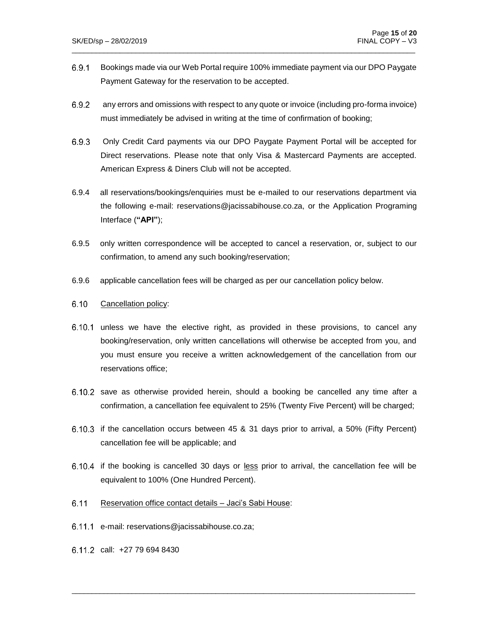Bookings made via our Web Portal require 100% immediate payment via our DPO Paygate 6.9.1 Payment Gateway for the reservation to be accepted.

 $\_$  ,  $\_$  ,  $\_$  ,  $\_$  ,  $\_$  ,  $\_$  ,  $\_$  ,  $\_$  ,  $\_$  ,  $\_$  ,  $\_$  ,  $\_$  ,  $\_$  ,  $\_$  ,  $\_$  ,  $\_$  ,  $\_$  ,  $\_$  ,  $\_$  ,  $\_$  ,  $\_$  ,  $\_$  ,  $\_$  ,  $\_$  ,  $\_$  ,  $\_$  ,  $\_$  ,  $\_$  ,  $\_$  ,  $\_$  ,  $\_$  ,  $\_$  ,  $\_$  ,  $\_$  ,  $\_$  ,  $\_$  ,  $\_$  ,

- $6.9.2$ any errors and omissions with respect to any quote or invoice (including pro-forma invoice) must immediately be advised in writing at the time of confirmation of booking;
- $6.9.3$ Only Credit Card payments via our DPO Paygate Payment Portal will be accepted for Direct reservations. Please note that only Visa & Mastercard Payments are accepted. American Express & Diners Club will not be accepted.
- 6.9.4 all reservations/bookings/enquiries must be e-mailed to our reservations department via the following e-mail: reservations@jacissabihouse.co.za, or the Application Programing Interface (**"API"**);
- 6.9.5 only written correspondence will be accepted to cancel a reservation, or, subject to our confirmation, to amend any such booking/reservation;
- 6.9.6 applicable cancellation fees will be charged as per our cancellation policy below.

#### $6.10$ Cancellation policy:

- $6.10.1$  unless we have the elective right, as provided in these provisions, to cancel any booking/reservation, only written cancellations will otherwise be accepted from you, and you must ensure you receive a written acknowledgement of the cancellation from our reservations office;
- 6.10.2 save as otherwise provided herein, should a booking be cancelled any time after a confirmation, a cancellation fee equivalent to 25% (Twenty Five Percent) will be charged;
- 6.10.3 if the cancellation occurs between 45 & 31 days prior to arrival, a 50% (Fifty Percent) cancellation fee will be applicable; and
- $6.10.4$  if the booking is cancelled 30 days or less prior to arrival, the cancellation fee will be equivalent to 100% (One Hundred Percent).

- $6.11$ Reservation office contact details – Jaci's Sabi House:
- e-mail: reservations@jacissabihouse.co.za;
- call: +27 79 694 8430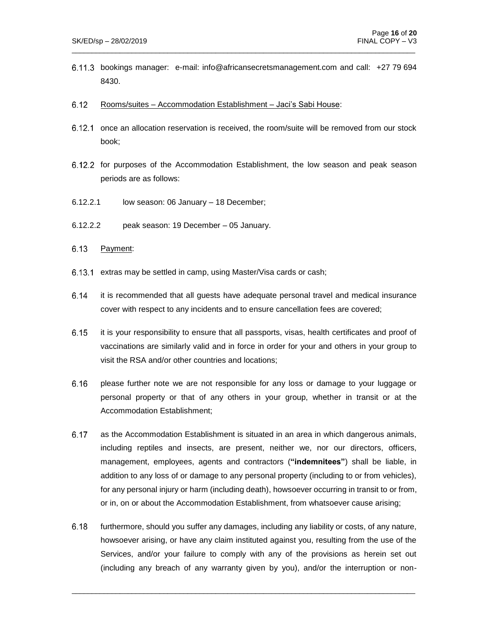bookings manager: e-mail: info@africansecretsmanagement.com and call: +27 79 694 8430.

 $\_$  ,  $\_$  ,  $\_$  ,  $\_$  ,  $\_$  ,  $\_$  ,  $\_$  ,  $\_$  ,  $\_$  ,  $\_$  ,  $\_$  ,  $\_$  ,  $\_$  ,  $\_$  ,  $\_$  ,  $\_$  ,  $\_$  ,  $\_$  ,  $\_$  ,  $\_$  ,  $\_$  ,  $\_$  ,  $\_$  ,  $\_$  ,  $\_$  ,  $\_$  ,  $\_$  ,  $\_$  ,  $\_$  ,  $\_$  ,  $\_$  ,  $\_$  ,  $\_$  ,  $\_$  ,  $\_$  ,  $\_$  ,  $\_$  ,

- $6.12$ Rooms/suites – Accommodation Establishment – Jaci's Sabi House:
- 6.12.1 once an allocation reservation is received, the room/suite will be removed from our stock book;
- 6.12.2 for purposes of the Accommodation Establishment, the low season and peak season periods are as follows:
- 6.12.2.1 low season: 06 January 18 December;
- 6.12.2.2 peak season: 19 December 05 January.
- $6.13$ Payment:
- $6.13.1$  extras may be settled in camp, using Master/Visa cards or cash;
- $6.14$ it is recommended that all guests have adequate personal travel and medical insurance cover with respect to any incidents and to ensure cancellation fees are covered;
- $6.15$ it is your responsibility to ensure that all passports, visas, health certificates and proof of vaccinations are similarly valid and in force in order for your and others in your group to visit the RSA and/or other countries and locations;
- $6.16$ please further note we are not responsible for any loss or damage to your luggage or personal property or that of any others in your group, whether in transit or at the Accommodation Establishment;
- 6.17 as the Accommodation Establishment is situated in an area in which dangerous animals, including reptiles and insects, are present, neither we, nor our directors, officers, management, employees, agents and contractors (**"indemnitees"**) shall be liable, in addition to any loss of or damage to any personal property (including to or from vehicles), for any personal injury or harm (including death), howsoever occurring in transit to or from, or in, on or about the Accommodation Establishment, from whatsoever cause arising;
- 6.18 furthermore, should you suffer any damages, including any liability or costs, of any nature, howsoever arising, or have any claim instituted against you, resulting from the use of the Services, and/or your failure to comply with any of the provisions as herein set out (including any breach of any warranty given by you), and/or the interruption or non-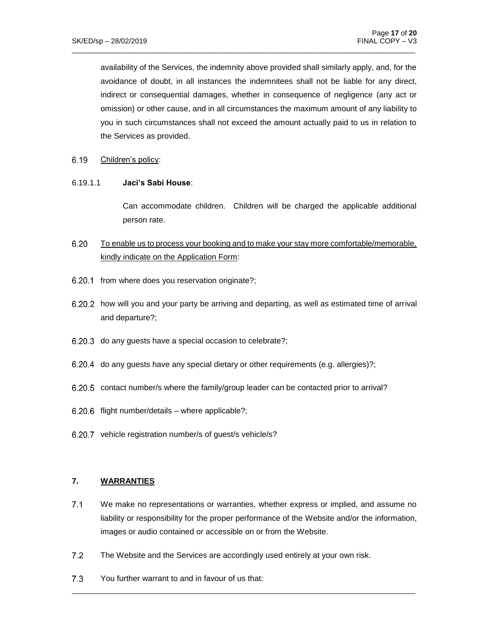availability of the Services, the indemnity above provided shall similarly apply, and, for the avoidance of doubt, in all instances the indemnitees shall not be liable for any direct, indirect or consequential damages, whether in consequence of negligence (any act or omission) or other cause, and in all circumstances the maximum amount of any liability to you in such circumstances shall not exceed the amount actually paid to us in relation to the Services as provided.

 $\_$  ,  $\_$  ,  $\_$  ,  $\_$  ,  $\_$  ,  $\_$  ,  $\_$  ,  $\_$  ,  $\_$  ,  $\_$  ,  $\_$  ,  $\_$  ,  $\_$  ,  $\_$  ,  $\_$  ,  $\_$  ,  $\_$  ,  $\_$  ,  $\_$  ,  $\_$  ,  $\_$  ,  $\_$  ,  $\_$  ,  $\_$  ,  $\_$  ,  $\_$  ,  $\_$  ,  $\_$  ,  $\_$  ,  $\_$  ,  $\_$  ,  $\_$  ,  $\_$  ,  $\_$  ,  $\_$  ,  $\_$  ,  $\_$  ,

#### 6.19 Children's policy:

#### 6.19.1.1 **Jaci's Sabi House**:

Can accommodate children. Children will be charged the applicable additional person rate.

#### $6.20$ To enable us to process your booking and to make your stay more comfortable/memorable, kindly indicate on the Application Form:

- 6.20.1 from where does you reservation originate?;
- 6.20.2 how will you and your party be arriving and departing, as well as estimated time of arrival and departure?;
- $6.20.3$  do any quests have a special occasion to celebrate?;
- 6.20.4 do any guests have any special dietary or other requirements (e.g. allergies)?;
- 6.20.5 contact number/s where the family/group leader can be contacted prior to arrival?
- $6.20.6$  flight number/details where applicable?;
- 6.20.7 vehicle registration number/s of guest/s vehicle/s?

## **7. WARRANTIES**

 $7.1$ We make no representations or warranties, whether express or implied, and assume no liability or responsibility for the proper performance of the Website and/or the information, images or audio contained or accessible on or from the Website.

- $7.2$ The Website and the Services are accordingly used entirely at your own risk.
- $7.3$ You further warrant to and in favour of us that: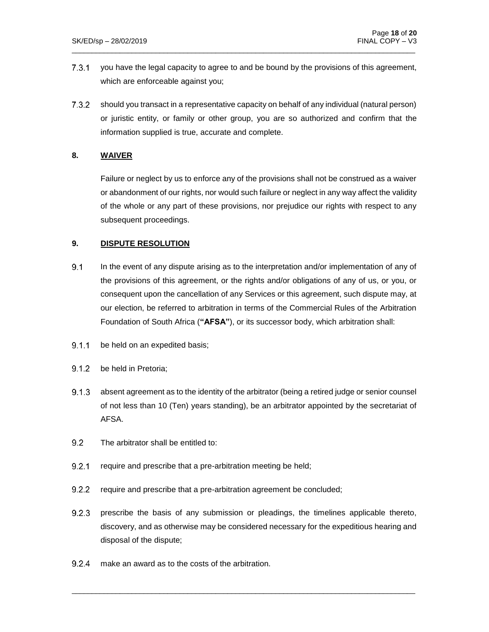$7.3.1$ you have the legal capacity to agree to and be bound by the provisions of this agreement, which are enforceable against you;

 $\_$  ,  $\_$  ,  $\_$  ,  $\_$  ,  $\_$  ,  $\_$  ,  $\_$  ,  $\_$  ,  $\_$  ,  $\_$  ,  $\_$  ,  $\_$  ,  $\_$  ,  $\_$  ,  $\_$  ,  $\_$  ,  $\_$  ,  $\_$  ,  $\_$  ,  $\_$  ,  $\_$  ,  $\_$  ,  $\_$  ,  $\_$  ,  $\_$  ,  $\_$  ,  $\_$  ,  $\_$  ,  $\_$  ,  $\_$  ,  $\_$  ,  $\_$  ,  $\_$  ,  $\_$  ,  $\_$  ,  $\_$  ,  $\_$  ,

 $7.3.2$ should you transact in a representative capacity on behalf of any individual (natural person) or juristic entity, or family or other group, you are so authorized and confirm that the information supplied is true, accurate and complete.

### **8. WAIVER**

Failure or neglect by us to enforce any of the provisions shall not be construed as a waiver or abandonment of our rights, nor would such failure or neglect in any way affect the validity of the whole or any part of these provisions, nor prejudice our rights with respect to any subsequent proceedings.

#### **9. DISPUTE RESOLUTION**

- $9.1$ In the event of any dispute arising as to the interpretation and/or implementation of any of the provisions of this agreement, or the rights and/or obligations of any of us, or you, or consequent upon the cancellation of any Services or this agreement, such dispute may, at our election, be referred to arbitration in terms of the Commercial Rules of the Arbitration Foundation of South Africa (**"AFSA"**), or its successor body, which arbitration shall:
- $9.1.1$ be held on an expedited basis;
- $9.1.2$ be held in Pretoria;
- $9.1.3$ absent agreement as to the identity of the arbitrator (being a retired judge or senior counsel of not less than 10 (Ten) years standing), be an arbitrator appointed by the secretariat of AFSA.
- $9.2$ The arbitrator shall be entitled to:
- $9.2.1$ require and prescribe that a pre-arbitration meeting be held;
- $9.2.2$ require and prescribe that a pre-arbitration agreement be concluded;
- $9.2.3$ prescribe the basis of any submission or pleadings, the timelines applicable thereto, discovery, and as otherwise may be considered necessary for the expeditious hearing and disposal of the dispute;

 $\_$  ,  $\_$  ,  $\_$  ,  $\_$  ,  $\_$  ,  $\_$  ,  $\_$  ,  $\_$  ,  $\_$  ,  $\_$  ,  $\_$  ,  $\_$  ,  $\_$  ,  $\_$  ,  $\_$  ,  $\_$  ,  $\_$  ,  $\_$  ,  $\_$  ,  $\_$  ,  $\_$  ,  $\_$  ,  $\_$  ,  $\_$  ,  $\_$  ,  $\_$  ,  $\_$  ,  $\_$  ,  $\_$  ,  $\_$  ,  $\_$  ,  $\_$  ,  $\_$  ,  $\_$  ,  $\_$  ,  $\_$  ,  $\_$  ,

 $9.2.4$ make an award as to the costs of the arbitration.